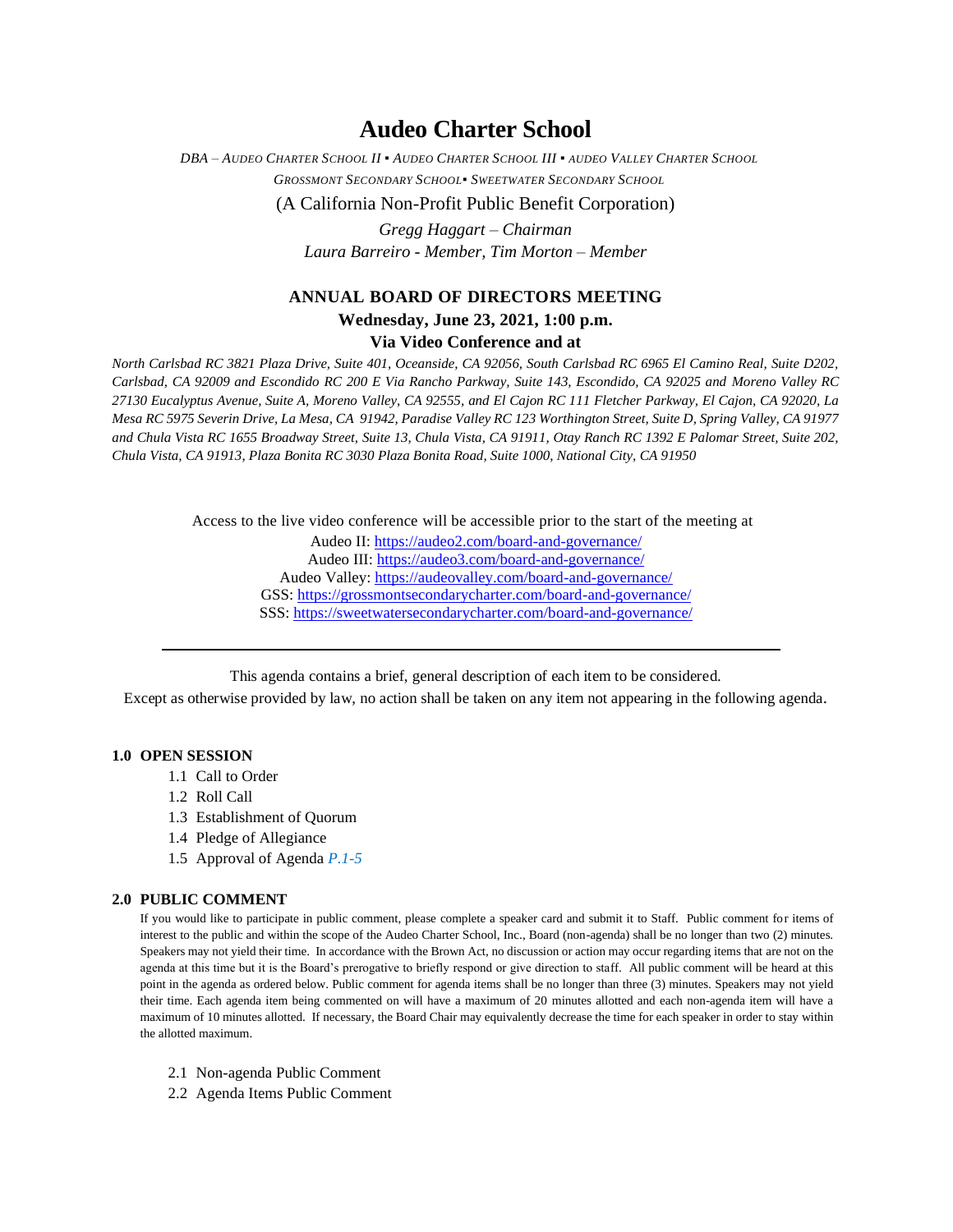# **Audeo Charter School**

DBA - AUDEO CHARTER SCHOOL II . AUDEO CHARTER SCHOOL III . AUDEO VALLEY CHARTER SCHOOL *GROSSMONT SECONDARY SCHOOL▪ SWEETWATER SECONDARY SCHOOL*

(A California Non-Profit Public Benefit Corporation)

*Gregg Haggart – Chairman Laura Barreiro - Member, Tim Morton – Member*

### **ANNUAL BOARD OF DIRECTORS MEETING**

## **Wednesday, June 23, 2021, 1:00 p.m.**

### **Via Video Conference and at**

*North Carlsbad RC 3821 Plaza Drive, Suite 401, Oceanside, CA 92056, South Carlsbad RC 6965 El Camino Real, Suite D202, Carlsbad, CA 92009 and Escondido RC 200 E Via Rancho Parkway, Suite 143, Escondido, CA 92025 and Moreno Valley RC 27130 Eucalyptus Avenue, Suite A, Moreno Valley, CA 92555, and El Cajon RC 111 Fletcher Parkway, El Cajon, CA 92020, La Mesa RC 5975 Severin Drive, La Mesa, CA 91942, Paradise Valley RC 123 Worthington Street, Suite D, Spring Valley, CA 91977 and Chula Vista RC 1655 Broadway Street, Suite 13, Chula Vista, CA 91911, Otay Ranch RC 1392 E Palomar Street, Suite 202, Chula Vista, CA 91913, Plaza Bonita RC 3030 Plaza Bonita Road, Suite 1000, National City, CA 91950*

Access to the live video conference will be accessible prior to the start of the meeting at

Audeo II[: https://audeo2.com/board-and-governance/](https://audeo2.com/board-and-governance/) Audeo III:<https://audeo3.com/board-and-governance/> Audeo Valley:<https://audeovalley.com/board-and-governance/> GSS:<https://grossmontsecondarycharter.com/board-and-governance/> SSS:<https://sweetwatersecondarycharter.com/board-and-governance/>

This agenda contains a brief, general description of each item to be considered.

Except as otherwise provided by law, no action shall be taken on any item not appearing in the following agenda.

#### **1.0 OPEN SESSION**

- 1.1 Call to Order
- 1.2 Roll Call
- 1.3 Establishment of Quorum
- 1.4 Pledge of Allegiance
- 1.5 Approval of Agenda *P.1-5*

#### **2.0 PUBLIC COMMENT**

If you would like to participate in public comment, please complete a speaker card and submit it to Staff. Public comment for items of interest to the public and within the scope of the Audeo Charter School, Inc., Board (non-agenda) shall be no longer than two (2) minutes. Speakers may not yield their time. In accordance with the Brown Act, no discussion or action may occur regarding items that are not on the agenda at this time but it is the Board's prerogative to briefly respond or give direction to staff. All public comment will be heard at this point in the agenda as ordered below. Public comment for agenda items shall be no longer than three (3) minutes. Speakers may not yield their time. Each agenda item being commented on will have a maximum of 20 minutes allotted and each non-agenda item will have a maximum of 10 minutes allotted. If necessary, the Board Chair may equivalently decrease the time for each speaker in order to stay within the allotted maximum.

- 2.1 Non-agenda Public Comment
- 2.2 Agenda Items Public Comment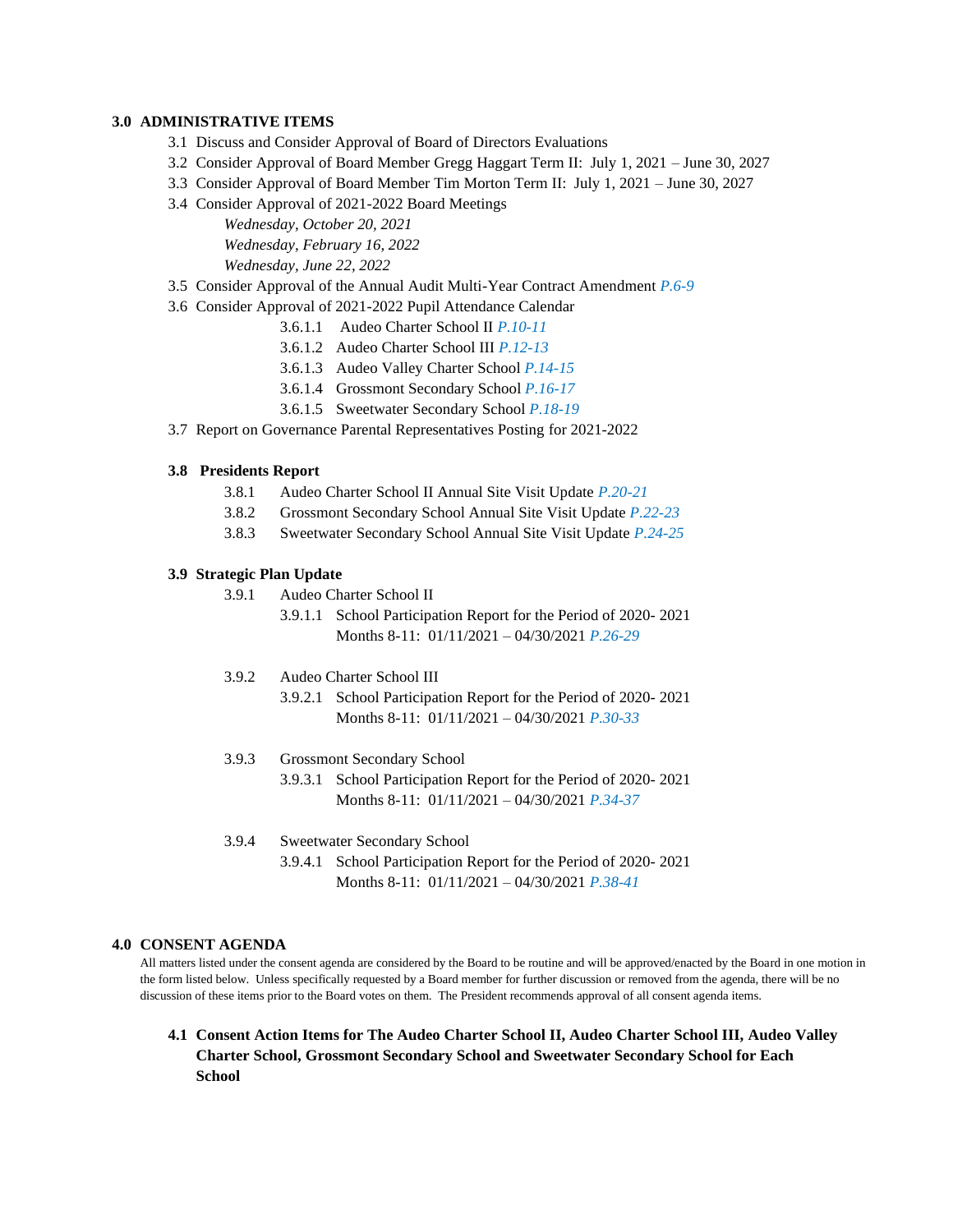#### **3.0 ADMINISTRATIVE ITEMS**

- 3.1 Discuss and Consider Approval of Board of Directors Evaluations
- 3.2 Consider Approval of Board Member Gregg Haggart Term II: July 1, 2021 June 30, 2027
- 3.3 Consider Approval of Board Member Tim Morton Term II: July 1, 2021 June 30, 2027
- 3.4 Consider Approval of 2021-2022 Board Meetings

*Wednesday, October 20, 2021 Wednesday, February 16, 2022 Wednesday, June 22, 2022*

- 3.5 Consider Approval of the Annual Audit Multi-Year Contract Amendment *P.6-9*
- 3.6 Consider Approval of 2021-2022 Pupil Attendance Calendar
	- 3.6.1.1 Audeo Charter School II *P.10-11*
	- 3.6.1.2 Audeo Charter School III *P.12-13*
	- 3.6.1.3 Audeo Valley Charter School *P.14-15*
	- 3.6.1.4 Grossmont Secondary School *P.16-17*
	- 3.6.1.5 Sweetwater Secondary School *P.18-19*
- 3.7 Report on Governance Parental Representatives Posting for 2021-2022

#### **3.8 Presidents Report**

- 3.8.1 Audeo Charter School II Annual Site Visit Update *P.20-21*
- 3.8.2 Grossmont Secondary School Annual Site Visit Update *P.22-23*
- 3.8.3 Sweetwater Secondary School Annual Site Visit Update *P.24-25*

#### **3.9 Strategic Plan Update**

- 3.9.1 Audeo Charter School II
	- 3.9.1.1 School Participation Report for the Period of 2020- 2021 Months 8-11: 01/11/2021 – 04/30/2021 *P.26-29*
- 3.9.2 Audeo Charter School III
	- 3.9.2.1 School Participation Report for the Period of 2020- 2021 Months 8-11: 01/11/2021 – 04/30/2021 *P.30-33*
- 3.9.3 Grossmont Secondary School
	- 3.9.3.1 School Participation Report for the Period of 2020- 2021 Months 8-11: 01/11/2021 – 04/30/2021 *P.34-37*
- 3.9.4 Sweetwater Secondary School
	- 3.9.4.1 School Participation Report for the Period of 2020- 2021 Months 8-11: 01/11/2021 – 04/30/2021 *P.38-41*

#### **4.0 CONSENT AGENDA**

All matters listed under the consent agenda are considered by the Board to be routine and will be approved/enacted by the Board in one motion in the form listed below. Unless specifically requested by a Board member for further discussion or removed from the agenda, there will be no discussion of these items prior to the Board votes on them. The President recommends approval of all consent agenda items.

**4.1 Consent Action Items for The Audeo Charter School II, Audeo Charter School III, Audeo Valley Charter School, Grossmont Secondary School and Sweetwater Secondary School for Each School**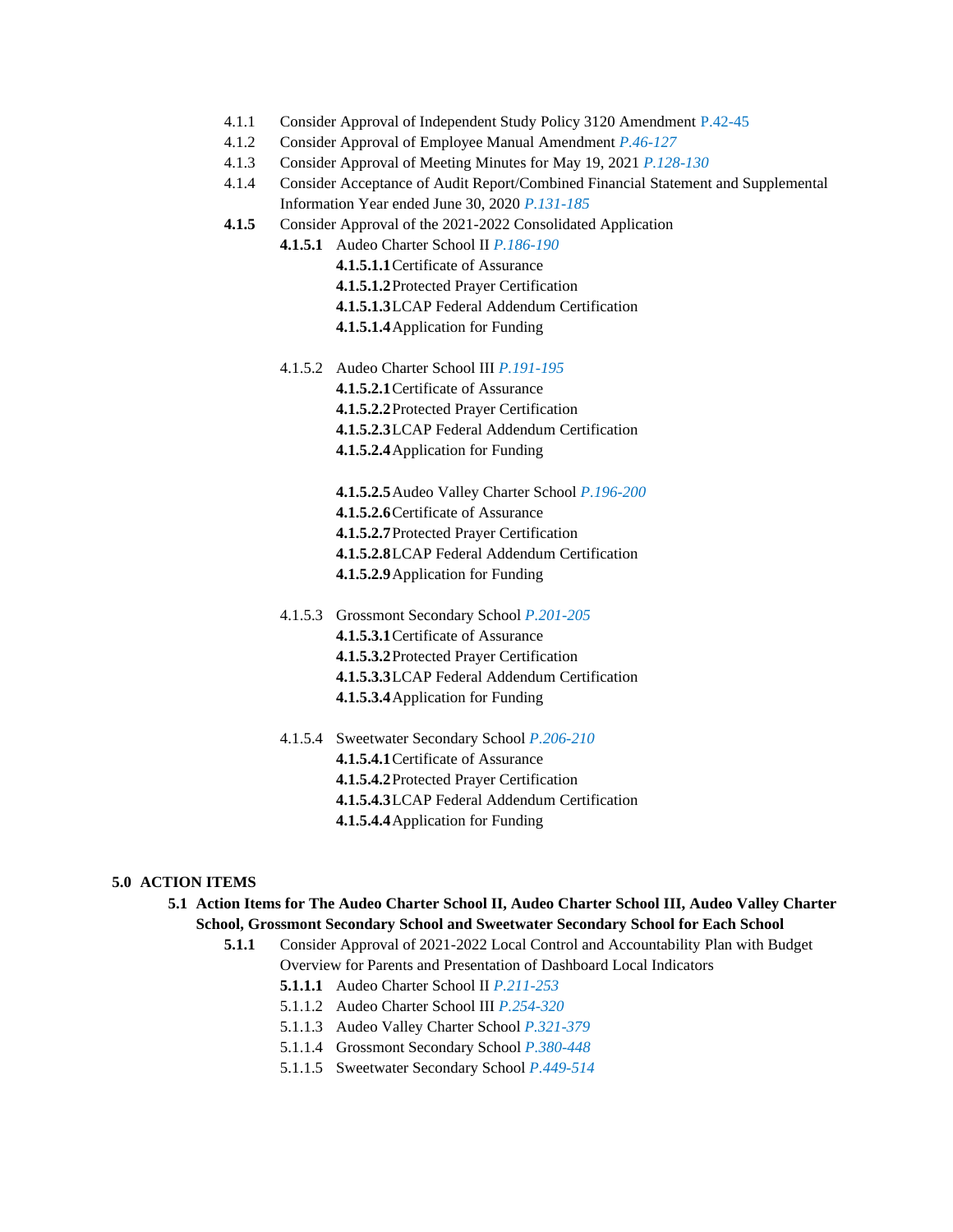- 4.1.1 Consider Approval of Independent Study Policy 3120 Amendment P.42-45
- 4.1.2 Consider Approval of Employee Manual Amendment *P.46-127*
- 4.1.3 Consider Approval of Meeting Minutes for May 19, 2021 *P.128-130*
- 4.1.4 Consider Acceptance of Audit Report/Combined Financial Statement and Supplemental Information Year ended June 30, 2020 *P.131-185*
- **4.1.5** Consider Approval of the 2021-2022 Consolidated Application

**4.1.5.1** Audeo Charter School II *P.186-190*

- **4.1.5.1.1**Certificate of Assurance
- **4.1.5.1.2**Protected Prayer Certification
- **4.1.5.1.3**LCAP Federal Addendum Certification
- **4.1.5.1.4**Application for Funding
- 4.1.5.2 Audeo Charter School III *P.191-195* **4.1.5.2.1**Certificate of Assurance **4.1.5.2.2**Protected Prayer Certification **4.1.5.2.3**LCAP Federal Addendum Certification **4.1.5.2.4**Application for Funding
	- **4.1.5.2.5**Audeo Valley Charter School *P.196-200* **4.1.5.2.6**Certificate of Assurance **4.1.5.2.7**Protected Prayer Certification **4.1.5.2.8**LCAP Federal Addendum Certification **4.1.5.2.9**Application for Funding
- 4.1.5.3 Grossmont Secondary School *P.201-205* **4.1.5.3.1**Certificate of Assurance **4.1.5.3.2**Protected Prayer Certification **4.1.5.3.3**LCAP Federal Addendum Certification **4.1.5.3.4**Application for Funding
- 4.1.5.4 Sweetwater Secondary School *P.206-210* **4.1.5.4.1**Certificate of Assurance **4.1.5.4.2**Protected Prayer Certification **4.1.5.4.3**LCAP Federal Addendum Certification **4.1.5.4.4**Application for Funding

#### **5.0 ACTION ITEMS**

- **5.1 Action Items for The Audeo Charter School II, Audeo Charter School III, Audeo Valley Charter School, Grossmont Secondary School and Sweetwater Secondary School for Each School**
	- **5.1.1** Consider Approval of 2021-2022 Local Control and Accountability Plan with Budget Overview for Parents and Presentation of Dashboard Local Indicators
		- **5.1.1.1** Audeo Charter School II *P.211-253*
		- 5.1.1.2 Audeo Charter School III *P.254-320*
		- 5.1.1.3 Audeo Valley Charter School *P.321-379*
		- 5.1.1.4 Grossmont Secondary School *P.380-448*
		- 5.1.1.5 Sweetwater Secondary School *P.449-514*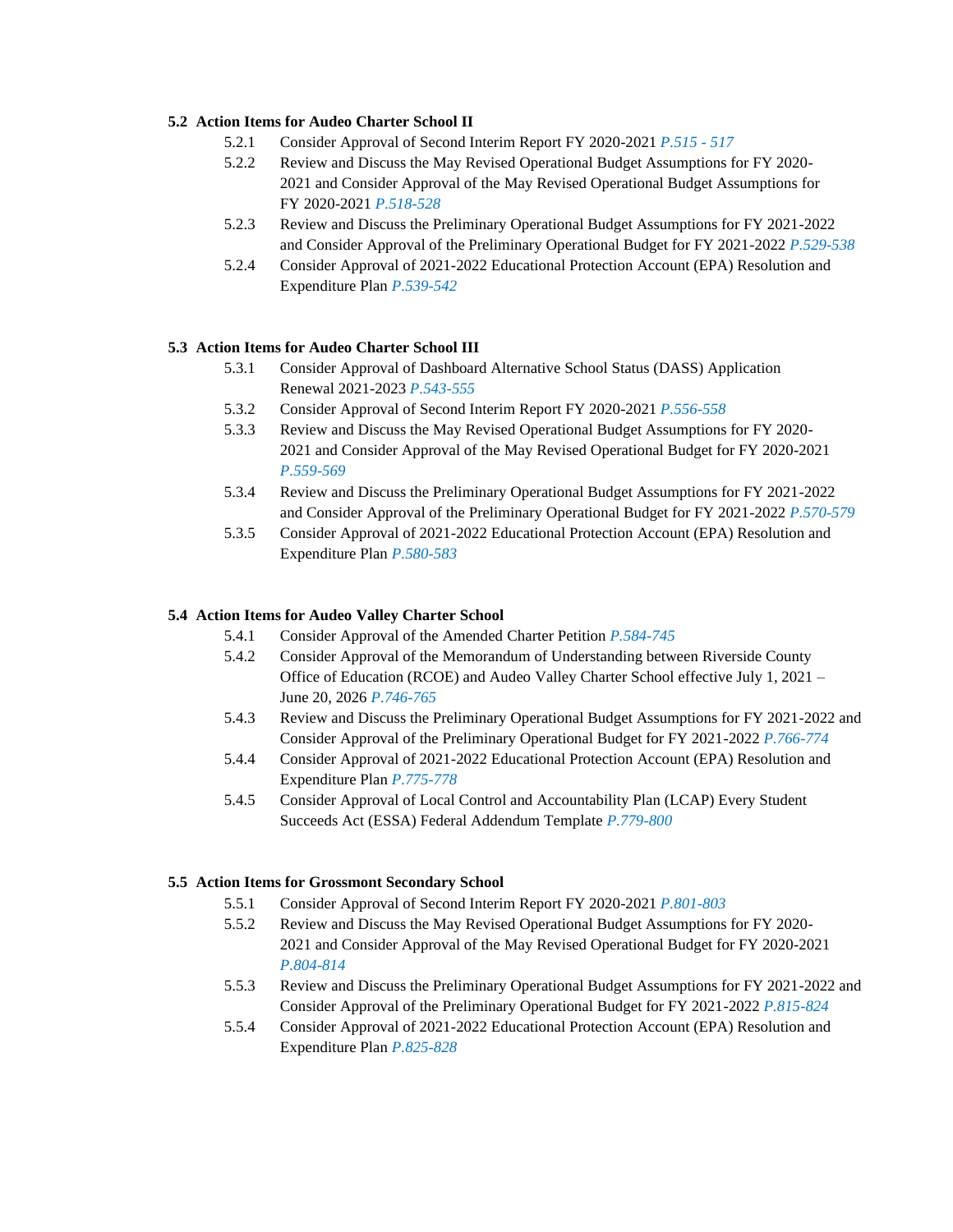#### **5.2 Action Items for Audeo Charter School II**

- 5.2.1 Consider Approval of Second Interim Report FY 2020-2021 *P.515 - 517*
- 5.2.2 Review and Discuss the May Revised Operational Budget Assumptions for FY 2020- 2021 and Consider Approval of the May Revised Operational Budget Assumptions for FY 2020-2021 *P.518-528*
- 5.2.3 Review and Discuss the Preliminary Operational Budget Assumptions for FY 2021-2022 and Consider Approval of the Preliminary Operational Budget for FY 2021-2022 *P.529-538*
- 5.2.4 Consider Approval of 2021-2022 Educational Protection Account (EPA) Resolution and Expenditure Plan *P.539-542*

#### **5.3 Action Items for Audeo Charter School III**

- 5.3.1 Consider Approval of Dashboard Alternative School Status (DASS) Application Renewal 2021-2023 *P.543-555*
- 5.3.2 Consider Approval of Second Interim Report FY 2020-2021 *P.556-558*
- 5.3.3 Review and Discuss the May Revised Operational Budget Assumptions for FY 2020- 2021 and Consider Approval of the May Revised Operational Budget for FY 2020-2021 *P.559-569*
- 5.3.4 Review and Discuss the Preliminary Operational Budget Assumptions for FY 2021-2022 and Consider Approval of the Preliminary Operational Budget for FY 2021-2022 *P.570-579*
- 5.3.5 Consider Approval of 2021-2022 Educational Protection Account (EPA) Resolution and Expenditure Plan *P.580-583*

#### **5.4 Action Items for Audeo Valley Charter School**

- 5.4.1 Consider Approval of the Amended Charter Petition *P.584-745*
- 5.4.2 Consider Approval of the Memorandum of Understanding between Riverside County Office of Education (RCOE) and Audeo Valley Charter School effective July 1, 2021 – June 20, 2026 *P.746-765*
- 5.4.3 Review and Discuss the Preliminary Operational Budget Assumptions for FY 2021-2022 and Consider Approval of the Preliminary Operational Budget for FY 2021-2022 *P.766-774*
- 5.4.4 Consider Approval of 2021-2022 Educational Protection Account (EPA) Resolution and Expenditure Plan *P.775-778*
- 5.4.5 Consider Approval of Local Control and Accountability Plan (LCAP) Every Student Succeeds Act (ESSA) Federal Addendum Template *P.779-800*

#### **5.5 Action Items for Grossmont Secondary School**

- 5.5.1 Consider Approval of Second Interim Report FY 2020-2021 *P.801-803*
- 5.5.2 Review and Discuss the May Revised Operational Budget Assumptions for FY 2020- 2021 and Consider Approval of the May Revised Operational Budget for FY 2020-2021 *P.804-814*
- 5.5.3 Review and Discuss the Preliminary Operational Budget Assumptions for FY 2021-2022 and Consider Approval of the Preliminary Operational Budget for FY 2021-2022 *P.815-824*
- 5.5.4 Consider Approval of 2021-2022 Educational Protection Account (EPA) Resolution and Expenditure Plan *P.825-828*